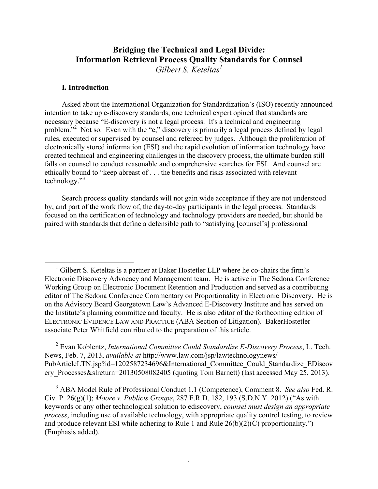# **Bridging the Technical and Legal Divide: Information Retrieval Process Quality Standards for Counsel**

*Gilbert S. Keteltas<sup>1</sup>*

#### **I. Introduction**

Asked about the International Organization for Standardization's (ISO) recently announced intention to take up e-discovery standards, one technical expert opined that standards are necessary because "E-discovery is not a legal process. It's a technical and engineering problem."<sup>2</sup> Not so. Even with the "e," discovery is primarily a legal process defined by legal rules, executed or supervised by counsel and refereed by judges. Although the proliferation of electronically stored information (ESI) and the rapid evolution of information technology have created technical and engineering challenges in the discovery process, the ultimate burden still falls on counsel to conduct reasonable and comprehensive searches for ESI. And counsel are ethically bound to "keep abreast of . . . the benefits and risks associated with relevant technology."<sup>3</sup>

Search process quality standards will not gain wide acceptance if they are not understood by, and part of the work flow of, the day-to-day participants in the legal process. Standards focused on the certification of technology and technology providers are needed, but should be paired with standards that define a defensible path to "satisfying [counsel's] professional

<sup>2</sup> Evan Koblentz, *International Committee Could Standardize E-Discovery Process*, L. Tech. News, Feb. 7, 2013, *available at* http://www.law.com/jsp/lawtechnologynews/ PubArticleLTN.jsp?id=1202587234696&International\_Committee\_Could\_Standardize\_EDiscov ery Processes&slreturn=20130508082405 (quoting Tom Barnett) (last accessed May 25, 2013).

<sup>3</sup> ABA Model Rule of Professional Conduct 1.1 (Competence), Comment 8. *See also* Fed. R. Civ. P. 26(g)(1); *Moore v. Publicis Groupe*, 287 F.R.D. 182, 193 (S.D.N.Y. 2012) ("As with keywords or any other technological solution to ediscovery, *counsel must design an appropriate process*, including use of available technology, with appropriate quality control testing, to review and produce relevant ESI while adhering to Rule 1 and Rule 26(b)(2)(C) proportionality.") (Emphasis added).

 <sup>1</sup> Gilbert S. Keteltas is a partner at Baker Hostetler LLP where he co-chairs the firm's Electronic Discovery Advocacy and Management team. He is active in The Sedona Conference Working Group on Electronic Document Retention and Production and served as a contributing editor of The Sedona Conference Commentary on Proportionality in Electronic Discovery. He is on the Advisory Board Georgetown Law's Advanced E-Discovery Institute and has served on the Institute's planning committee and faculty. He is also editor of the forthcoming edition of ELECTRONIC EVIDENCE LAW AND PRACTICE (ABA Section of Litigation). BakerHostetler associate Peter Whitfield contributed to the preparation of this article.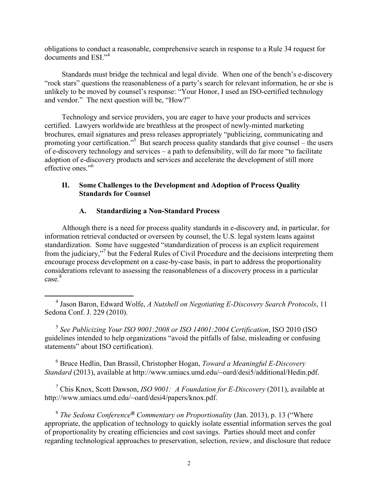obligations to conduct a reasonable, comprehensive search in response to a Rule 34 request for documents and ESI."<sup>4</sup>

Standards must bridge the technical and legal divide. When one of the bench's e-discovery "rock stars" questions the reasonableness of a party's search for relevant information, he or she is unlikely to be moved by counsel's response: "Your Honor, I used an ISO-certified technology and vendor." The next question will be, "How?"

Technology and service providers, you are eager to have your products and services certified. Lawyers worldwide are breathless at the prospect of newly-minted marketing brochures, email signatures and press releases appropriately "publicizing, communicating and promoting your certification."<sup>5</sup> But search process quality standards that give counsel – the users of e-discovery technology and services – a path to defensibility, will do far more "to facilitate adoption of e-discovery products and services and accelerate the development of still more effective ones."<sup>6</sup>

## **II. Some Challenges to the Development and Adoption of Process Quality Standards for Counsel**

## **A. Standardizing a Non-Standard Process**

Although there is a need for process quality standards in e-discovery and, in particular, for information retrieval conducted or overseen by counsel, the U.S. legal system leans against standardization. Some have suggested "standardization of process is an explicit requirement from the judiciary,"<sup>7</sup> but the Federal Rules of Civil Procedure and the decisions interpreting them encourage process development on a case-by-case basis, in part to address the proportionality considerations relevant to assessing the reasonableness of a discovery process in a particular case.<sup>8</sup>

<sup>5</sup> *See Publicizing Your ISO 9001:2008 or ISO 14001:2004 Certification*, ISO 2010 (ISO guidelines intended to help organizations "avoid the pitfalls of false, misleading or confusing statements" about ISO certification).

<sup>6</sup> Bruce Hedlin, Dan Brassil, Christopher Hogan, *Toward a Meaningful E-Discovery Standard* (2013), available at http://www.umiacs.umd.edu/~oard/desi5/additional/Hedin.pdf.

<sup>7</sup> Chis Knox, Scott Dawson, *ISO 9001: A Foundation for E-Discovery* (2011), available at http://www.umiacs.umd.edu/~oard/desi4/papers/knox.pdf.

<sup>8</sup> *The Sedona Conference***®** *Commentary on Proportionality* (Jan. 2013), p. 13 ("Where appropriate, the application of technology to quickly isolate essential information serves the goal of proportionality by creating efficiencies and cost savings. Parties should meet and confer regarding technological approaches to preservation, selection, review, and disclosure that reduce

 <sup>4</sup> Jason Baron, Edward Wolfe, *A Nutshell on Negotiating E-Discovery Search Protocols*, 11 Sedona Conf. J. 229 (2010).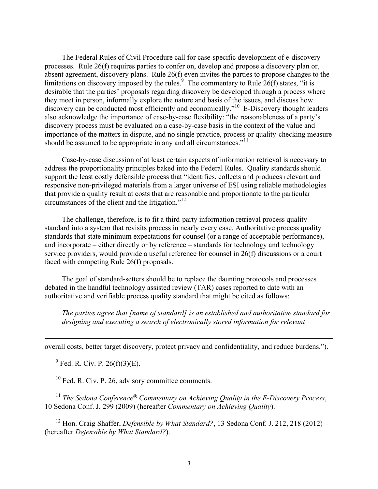The Federal Rules of Civil Procedure call for case-specific development of e-discovery processes. Rule 26(f) requires parties to confer on, develop and propose a discovery plan or, absent agreement, discovery plans. Rule 26(f) even invites the parties to propose changes to the limitations on discovery imposed by the rules.<sup>9</sup> The commentary to Rule 26(f) states, "it is desirable that the parties' proposals regarding discovery be developed through a process where they meet in person, informally explore the nature and basis of the issues, and discuss how discovery can be conducted most efficiently and economically."<sup>10</sup> E-Discovery thought leaders also acknowledge the importance of case-by-case flexibility: "the reasonableness of a party's discovery process must be evaluated on a case-by-case basis in the context of the value and importance of the matters in dispute, and no single practice, process or quality-checking measure should be assumed to be appropriate in any and all circumstances.<sup>"11</sup>

Case-by-case discussion of at least certain aspects of information retrieval is necessary to address the proportionality principles baked into the Federal Rules. Quality standards should support the least costly defensible process that "identifies, collects and produces relevant and responsive non-privileged materials from a larger universe of ESI using reliable methodologies that provide a quality result at costs that are reasonable and proportionate to the particular circumstances of the client and the litigation."<sup>12</sup>

The challenge, therefore, is to fit a third-party information retrieval process quality standard into a system that revisits process in nearly every case. Authoritative process quality standards that state minimum expectations for counsel (or a range of acceptable performance), and incorporate – either directly or by reference – standards for technology and technology service providers, would provide a useful reference for counsel in 26(f) discussions or a court faced with competing Rule 26(f) proposals.

The goal of standard-setters should be to replace the daunting protocols and processes debated in the handful technology assisted review (TAR) cases reported to date with an authoritative and verifiable process quality standard that might be cited as follows:

*The parties agree that [name of standard] is an established and authoritative standard for designing and executing a search of electronically stored information for relevant* 

<u> Alexandro de la contrada de la contrada de la contrada de la contrada de la contrada de la contrada de la co</u> overall costs, better target discovery, protect privacy and confidentiality, and reduce burdens.").

 $^{9}$  Fed. R. Civ. P. 26(f)(3)(E).

 $10$  Fed. R. Civ. P. 26, advisory committee comments.

<sup>11</sup> *The Sedona Conference***®** *Commentary on Achieving Quality in the E-Discovery Process*, 10 Sedona Conf. J. 299 (2009) (hereafter *Commentary on Achieving Quality*).

<sup>12</sup> Hon. Craig Shaffer, *Defensible by What Standard?*, 13 Sedona Conf. J. 212, 218 (2012) (hereafter *Defensible by What Standard?*).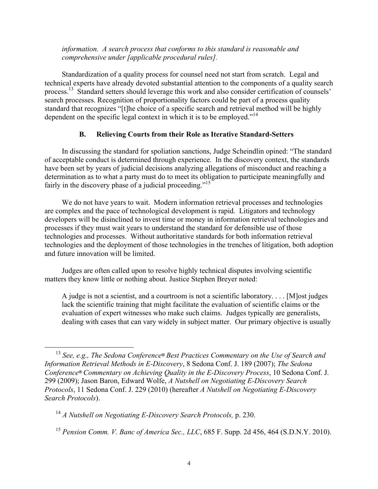#### *information. A search process that conforms to this standard is reasonable and comprehensive under [applicable procedural rules].*

Standardization of a quality process for counsel need not start from scratch. Legal and technical experts have already devoted substantial attention to the components of a quality search process.13 Standard setters should leverage this work and also consider certification of counsels' search processes. Recognition of proportionality factors could be part of a process quality standard that recognizes "[t]he choice of a specific search and retrieval method will be highly dependent on the specific legal context in which it is to be employed."<sup>14</sup>

## **B. Relieving Courts from their Role as Iterative Standard-Setters**

In discussing the standard for spoliation sanctions, Judge Scheindlin opined: "The standard of acceptable conduct is determined through experience. In the discovery context, the standards have been set by years of judicial decisions analyzing allegations of misconduct and reaching a determination as to what a party must do to meet its obligation to participate meaningfully and fairly in the discovery phase of a judicial proceeding."<sup>15</sup>

We do not have years to wait. Modern information retrieval processes and technologies are complex and the pace of technological development is rapid. Litigators and technology developers will be disinclined to invest time or money in information retrieval technologies and processes if they must wait years to understand the standard for defensible use of those technologies and processes. Without authoritative standards for both information retrieval technologies and the deployment of those technologies in the trenches of litigation, both adoption and future innovation will be limited.

Judges are often called upon to resolve highly technical disputes involving scientific matters they know little or nothing about. Justice Stephen Breyer noted:

A judge is not a scientist, and a courtroom is not a scientific laboratory. . . . [M]ost judges lack the scientific training that might facilitate the evaluation of scientific claims or the evaluation of expert witnesses who make such claims. Judges typically are generalists, dealing with cases that can vary widely in subject matter. Our primary objective is usually

 <sup>13</sup> *See, e.g., The Sedona Conference***®** *Best Practices Commentary on the Use of Search and Information Retrieval Methods in E-Discovery*, 8 Sedona Conf. J. 189 (2007); *The Sedona Conference***®** *Commentary on Achieving Quality in the E-Discovery Process*, 10 Sedona Conf. J. 299 (2009); Jason Baron, Edward Wolfe, *A Nutshell on Negotiating E-Discovery Search Protocols*, 11 Sedona Conf. J. 229 (2010) (hereafter *A Nutshell on Negotiating E-Discovery Search Protocols*).

<sup>14</sup> *A Nutshell on Negotiating E-Discovery Search Protocols,* p. 230.

<sup>15</sup> *Pension Comm. V. Banc of America Sec., LLC*, 685 F. Supp. 2d 456, 464 (S.D.N.Y. 2010).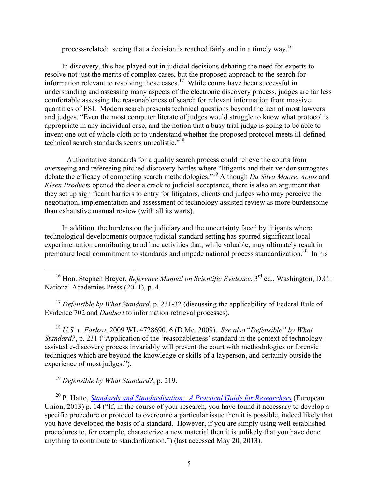process-related: seeing that a decision is reached fairly and in a timely way.16

In discovery, this has played out in judicial decisions debating the need for experts to resolve not just the merits of complex cases, but the proposed approach to the search for information relevant to resolving those cases. 17 While courts have been successful in understanding and assessing many aspects of the electronic discovery process, judges are far less comfortable assessing the reasonableness of search for relevant information from massive quantities of ESI. Modern search presents technical questions beyond the ken of most lawyers and judges. "Even the most computer literate of judges would struggle to know what protocol is appropriate in any individual case, and the notion that a busy trial judge is going to be able to invent one out of whole cloth or to understand whether the proposed protocol meets ill-defined technical search standards seems unrealistic."18

Authoritative standards for a quality search process could relieve the courts from overseeing and refereeing pitched discovery battles where "litigants and their vendor surrogates debate the efficacy of competing search methodologies."19 Although *Da Silva Moore*, *Actos* and *Kleen Products* opened the door a crack to judicial acceptance, there is also an argument that they set up significant barriers to entry for litigators, clients and judges who may perceive the negotiation, implementation and assessment of technology assisted review as more burdensome than exhaustive manual review (with all its warts).

In addition, the burdens on the judiciary and the uncertainty faced by litigants where technological developments outpace judicial standard setting has spurred significant local experimentation contributing to ad hoc activities that, while valuable, may ultimately result in premature local commitment to standards and impede national process standardization.<sup>20</sup> In his

<sup>17</sup> Defensible by What Standard, p. 231-32 (discussing the applicability of Federal Rule of Evidence 702 and *Daubert* to information retrieval processes).

<sup>18</sup> *U.S. v. Farlow*, 2009 WL 4728690, 6 (D.Me. 2009). *See also* "*Defensible" by What Standard?*, p. 231 ("Application of the 'reasonableness' standard in the context of technologyassisted e-discovery process invariably will present the court with methodologies or forensic techniques which are beyond the knowledge or skills of a layperson, and certainly outside the experience of most judges.").

<sup>19</sup> *Defensible by What Standard?*, p. 219.

<sup>20</sup> P. Hatto, *Standards and Standardisation: A Practical Guide for Researchers* (European Union, 2013) p. 14 ("If, in the course of your research, you have found it necessary to develop a specific procedure or protocol to overcome a particular issue then it is possible, indeed likely that you have developed the basis of a standard. However, if you are simply using well established procedures to, for example, characterize a new material then it is unlikely that you have done anything to contribute to standardization.") (last accessed May 20, 2013).

<sup>&</sup>lt;sup>16</sup> Hon. Stephen Breyer, *Reference Manual on Scientific Evidence*, 3<sup>rd</sup> ed., Washington, D.C.: National Academies Press (2011), p. 4.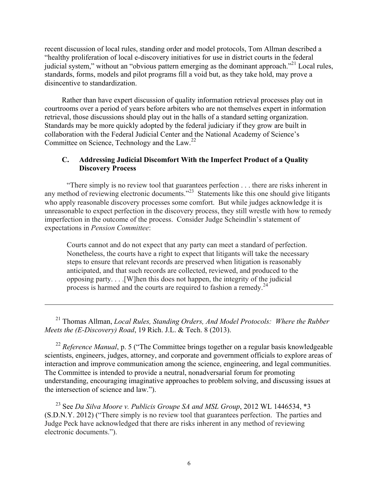recent discussion of local rules, standing order and model protocols, Tom Allman described a "healthy proliferation of local e-discovery initiatives for use in district courts in the federal judicial system," without an "obvious pattern emerging as the dominant approach."21 Local rules, standards, forms, models and pilot programs fill a void but, as they take hold, may prove a disincentive to standardization.

Rather than have expert discussion of quality information retrieval processes play out in courtrooms over a period of years before arbiters who are not themselves expert in information retrieval, those discussions should play out in the halls of a standard setting organization. Standards may be more quickly adopted by the federal judiciary if they grow are built in collaboration with the Federal Judicial Center and the National Academy of Science's Committee on Science, Technology and the Law.<sup>22</sup>

### **C. Addressing Judicial Discomfort With the Imperfect Product of a Quality Discovery Process**

"There simply is no review tool that guarantees perfection . . . there are risks inherent in any method of reviewing electronic documents."<sup>23</sup> Statements like this one should give litigants who apply reasonable discovery processes some comfort. But while judges acknowledge it is unreasonable to expect perfection in the discovery process, they still wrestle with how to remedy imperfection in the outcome of the process. Consider Judge Scheindlin's statement of expectations in *Pension Committee*:

Courts cannot and do not expect that any party can meet a standard of perfection. Nonetheless, the courts have a right to expect that litigants will take the necessary steps to ensure that relevant records are preserved when litigation is reasonably anticipated, and that such records are collected, reviewed, and produced to the opposing party. . . .[W]hen this does not happen, the integrity of the judicial process is harmed and the courts are required to fashion a remedy.<sup>24</sup>

<sup>21</sup> Thomas Allman, *Local Rules, Standing Orders, And Model Protocols: Where the Rubber Meets the (E-Discovery) Road*, 19 Rich. J.L. & Tech. 8 (2013).

<u> Alexandro de la contrada de la contrada de la contrada de la contrada de la contrada de la contrada de la co</u>

<sup>22</sup> *Reference Manual*, p. 5 ("The Committee brings together on a regular basis knowledgeable scientists, engineers, judges, attorney, and corporate and government officials to explore areas of interaction and improve communication among the science, engineering, and legal communities. The Committee is intended to provide a neutral, nonadversarial forum for promoting understanding, encouraging imaginative approaches to problem solving, and discussing issues at the intersection of science and law.").

<sup>23</sup> See *Da Silva Moore v. Publicis Groupe SA and MSL Group*, 2012 WL 1446534, \*3 (S.D.N.Y. 2012) ("There simply is no review tool that guarantees perfection. The parties and Judge Peck have acknowledged that there are risks inherent in any method of reviewing electronic documents.").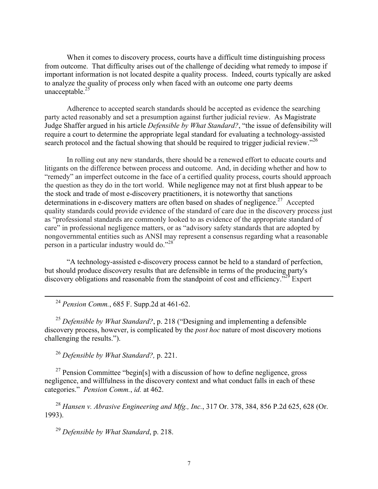When it comes to discovery process, courts have a difficult time distinguishing process from outcome. That difficulty arises out of the challenge of deciding what remedy to impose if important information is not located despite a quality process. Indeed, courts typically are asked to analyze the quality of process only when faced with an outcome one party deems unacceptable. $^{25}$ 

Adherence to accepted search standards should be accepted as evidence the searching party acted reasonably and set a presumption against further judicial review. As Magistrate Judge Shaffer argued in his article *Defensible by What Standard?*, "the issue of defensibility will require a court to determine the appropriate legal standard for evaluating a technology-assisted search protocol and the factual showing that should be required to trigger judicial review."<sup>26</sup>

In rolling out any new standards, there should be a renewed effort to educate courts and litigants on the difference between process and outcome. And, in deciding whether and how to "remedy" an imperfect outcome in the face of a certified quality process, courts should approach the question as they do in the tort world. While negligence may not at first blush appear to be the stock and trade of most e-discovery practitioners, it is noteworthy that sanctions determinations in e-discovery matters are often based on shades of negligence.<sup>27</sup> Accepted quality standards could provide evidence of the standard of care due in the discovery process just as "professional standards are commonly looked to as evidence of the appropriate standard of care" in professional negligence matters, or as "advisory safety standards that are adopted by nongovernmental entities such as ANSI may represent a consensus regarding what a reasonable person in a particular industry would do."<sup>28</sup>

"A technology-assisted e-discovery process cannot be held to a standard of perfection, but should produce discovery results that are defensible in terms of the producing party's discovery obligations and reasonable from the standpoint of cost and efficiency.<sup>729</sup> Expert

 <sup>24</sup> *Pension Comm.*, 685 F. Supp.2d at 461-62.

<sup>25</sup> *Defensible by What Standard?*, p. 218 ("Designing and implementing a defensible discovery process, however, is complicated by the *post hoc* nature of most discovery motions challenging the results.").

<sup>26</sup> *Defensible by What Standard?,* p. 221.

 $27$  Pension Committee "begin[s] with a discussion of how to define negligence, gross negligence, and willfulness in the discovery context and what conduct falls in each of these categories." *Pension Comm.*, *id.* at 462.

<sup>28</sup> *Hansen v. Abrasive Engineering and Mfg., Inc.*, 317 Or. 378, 384, 856 P.2d 625, 628 (Or. 1993).

<sup>29</sup> *Defensible by What Standard*, p. 218.